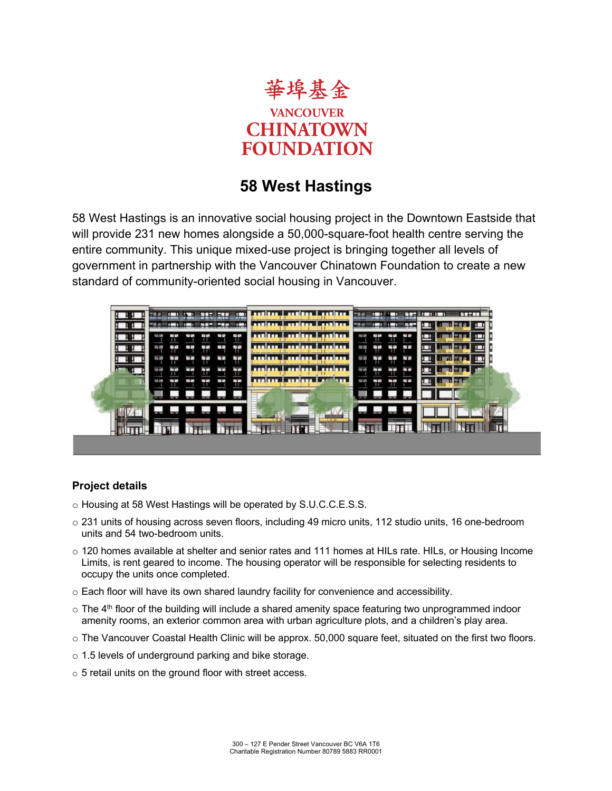

# **58 West Hastings**

58 West Hastings is an innovative social housing project in the Downtown Eastside that will provide 231 new homes alongside a 50,000-square-foot health centre serving the entire community. This unique mixed-use project is bringing together all levels of government in partnership with the Vancouver Chinatown Foundation to create a new standard of community-oriented social housing in Vancouver.



## **Project details**

- o Housing at 58 West Hastings will be operated by S.U.C.C.E.S.S.
- o 231 units of housing across seven floors, including 49 micro units, 112 studio units, 16 one-bedroom units and 54 two-bedroom units.
- o 120 homes available at shelter and senior rates and 111 homes at HILs rate. HILs, or Housing Income Limits, is rent geared to income. The housing operator will be responsible for selecting residents to occupy the units once completed.
- o Each floor will have its own shared laundry facility for convenience and accessibility.
- $\circ$  The 4<sup>th</sup> floor of the building will include a shared amenity space featuring two unprogrammed indoor amenity rooms, an exterior common area with urban agriculture plots, and a children's play area.
- o The Vancouver Coastal Health Clinic will be approx. 50,000 square feet, situated on the first two floors.
- o 1.5 levels of underground parking and bike storage.
- o 5 retail units on the ground floor with street access.